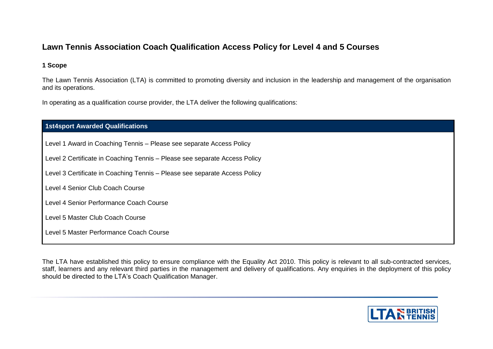# **Lawn Tennis Association Coach Qualification Access Policy for Level 4 and 5 Courses**

## **1 Scope**

The Lawn Tennis Association (LTA) is committed to promoting diversity and inclusion in the leadership and management of the organisation and its operations.

In operating as a qualification course provider, the LTA deliver the following qualifications:

| <b>1st4sport Awarded Qualifications</b> |  |  |
|-----------------------------------------|--|--|
|                                         |  |  |

Level 1 Award in Coaching Tennis – Please see separate Access Policy

Level 2 Certificate in Coaching Tennis – Please see separate Access Policy

Level 3 Certificate in Coaching Tennis – Please see separate Access Policy

Level 4 Senior Club Coach Course

Level 4 Senior Performance Coach Course

Level 5 Master Club Coach Course

Level 5 Master Performance Coach Course

The LTA have established this policy to ensure compliance with the Equality Act 2010. This policy is relevant to all sub-contracted services, staff, learners and any relevant third parties in the management and delivery of qualifications. Any enquiries in the deployment of this policy should be directed to the LTA's Coach Qualification Manager.

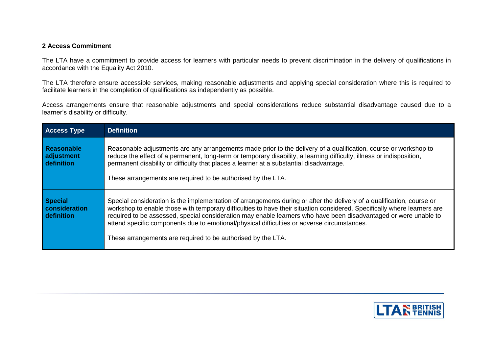## **2 Access Commitment**

The LTA have a commitment to provide access for learners with particular needs to prevent discrimination in the delivery of qualifications in accordance with the Equality Act 2010.

The LTA therefore ensure accessible services, making reasonable adjustments and applying special consideration where this is required to facilitate learners in the completion of qualifications as independently as possible.

Access arrangements ensure that reasonable adjustments and special considerations reduce substantial disadvantage caused due to a learner's disability or difficulty.

| <b>Access Type</b>                            | <b>Definition</b>                                                                                                                                                                                                                                                                                                                                                                                                                                                                                                                     |  |
|-----------------------------------------------|---------------------------------------------------------------------------------------------------------------------------------------------------------------------------------------------------------------------------------------------------------------------------------------------------------------------------------------------------------------------------------------------------------------------------------------------------------------------------------------------------------------------------------------|--|
| <b>Reasonable</b><br>adjustment<br>definition | Reasonable adjustments are any arrangements made prior to the delivery of a qualification, course or workshop to<br>reduce the effect of a permanent, long-term or temporary disability, a learning difficulty, illness or indisposition,<br>permanent disability or difficulty that places a learner at a substantial disadvantage.<br>These arrangements are required to be authorised by the LTA.                                                                                                                                  |  |
| <b>Special</b><br>consideration<br>definition | Special consideration is the implementation of arrangements during or after the delivery of a qualification, course or<br>workshop to enable those with temporary difficulties to have their situation considered. Specifically where learners are<br>required to be assessed, special consideration may enable learners who have been disadvantaged or were unable to<br>attend specific components due to emotional/physical difficulties or adverse circumstances.<br>These arrangements are required to be authorised by the LTA. |  |

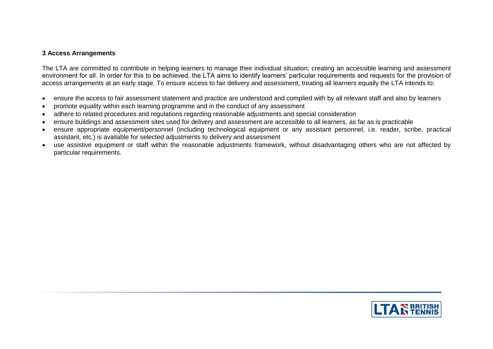### **3 Access Arrangements**

The LTA are committed to contribute in helping learners to manage their individual situation; creating an accessible learning and assessment environment for all. In order for this to be achieved, the LTA aims to identify learners' particular requirements and requests for the provision of access arrangements at an early stage. To ensure access to fair delivery and assessment, treating all learners equally the LTA intends to:

- ensure the access to fair assessment statement and practice are understood and complied with by all relevant staff and also by learners
- promote equality within each learning programme and in the conduct of any assessment
- adhere to related procedures and regulations regarding reasonable adjustments and special consideration
- ensure buildings and assessment sites used for delivery and assessment are accessible to all learners, as far as is practicable
- ensure appropriate equipment/personnel (including technological equipment or any assistant personnel, i.e. reader, scribe, practical assistant, etc.) is available for selected adjustments to delivery and assessment
- use assistive equipment or staff within the reasonable adjustments framework, without disadvantaging others who are not affected by particular requirements.

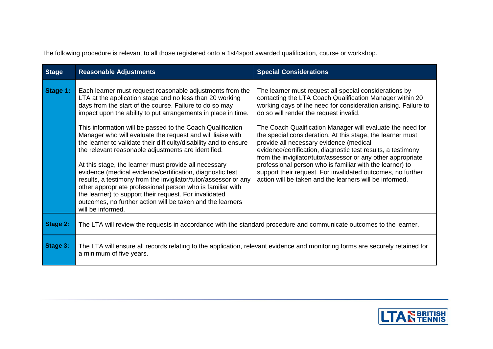The following procedure is relevant to all those registered onto a 1st4sport awarded qualification, course or workshop.

| <b>Stage</b> | <b>Reasonable Adjustments</b>                                                                                                                                                                                                                                                                                                                                                                                                                                                                                                                                                                                                                                                                                                                                                                                                                                                                                 | <b>Special Considerations</b>                                                                                                                                                                                                                                                                                                                                                                                                                                                                                                                                                                                                                                                                                               |  |
|--------------|---------------------------------------------------------------------------------------------------------------------------------------------------------------------------------------------------------------------------------------------------------------------------------------------------------------------------------------------------------------------------------------------------------------------------------------------------------------------------------------------------------------------------------------------------------------------------------------------------------------------------------------------------------------------------------------------------------------------------------------------------------------------------------------------------------------------------------------------------------------------------------------------------------------|-----------------------------------------------------------------------------------------------------------------------------------------------------------------------------------------------------------------------------------------------------------------------------------------------------------------------------------------------------------------------------------------------------------------------------------------------------------------------------------------------------------------------------------------------------------------------------------------------------------------------------------------------------------------------------------------------------------------------------|--|
| Stage 1:     | Each learner must request reasonable adjustments from the<br>LTA at the application stage and no less than 20 working<br>days from the start of the course. Failure to do so may<br>impact upon the ability to put arrangements in place in time.<br>This information will be passed to the Coach Qualification<br>Manager who will evaluate the request and will liaise with<br>the learner to validate their difficulty/disability and to ensure<br>the relevant reasonable adjustments are identified.<br>At this stage, the learner must provide all necessary<br>evidence (medical evidence/certification, diagnostic test<br>results, a testimony from the invigilator/tutor/assessor or any<br>other appropriate professional person who is familiar with<br>the learner) to support their request. For invalidated<br>outcomes, no further action will be taken and the learners<br>will be informed. | The learner must request all special considerations by<br>contacting the LTA Coach Qualification Manager within 20<br>working days of the need for consideration arising. Failure to<br>do so will render the request invalid.<br>The Coach Qualification Manager will evaluate the need for<br>the special consideration. At this stage, the learner must<br>provide all necessary evidence (medical<br>evidence/certification, diagnostic test results, a testimony<br>from the invigilator/tutor/assessor or any other appropriate<br>professional person who is familiar with the learner) to<br>support their request. For invalidated outcomes, no further<br>action will be taken and the learners will be informed. |  |
| Stage 2:     | The LTA will review the requests in accordance with the standard procedure and communicate outcomes to the learner.                                                                                                                                                                                                                                                                                                                                                                                                                                                                                                                                                                                                                                                                                                                                                                                           |                                                                                                                                                                                                                                                                                                                                                                                                                                                                                                                                                                                                                                                                                                                             |  |
| Stage 3:     | The LTA will ensure all records relating to the application, relevant evidence and monitoring forms are securely retained for<br>a minimum of five years.                                                                                                                                                                                                                                                                                                                                                                                                                                                                                                                                                                                                                                                                                                                                                     |                                                                                                                                                                                                                                                                                                                                                                                                                                                                                                                                                                                                                                                                                                                             |  |